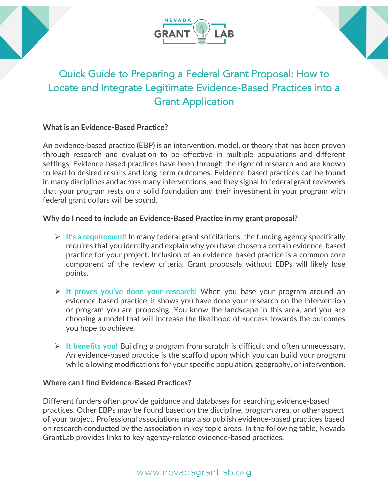





# Quick Guide to Preparing a Federal Grant Proposal: How to Locate and Integrate Legitimate Evidence-Based Practices into a Grant Application

### **What is an Evidence-Based Practice?**

An evidence-based practice (EBP) is an intervention, model, or theory that has been proven through research and evaluation to be effective in multiple populations and different settings. Evidence-based practices have been through the rigor of research and are known to lead to desired results and long-term outcomes. Evidence-based practices can be found in many disciplines and across many interventions, and they signal to federal grant reviewers that your program rests on a solid foundation and their investment in your program with federal grant dollars will be sound.

### **Why do I need to include an Evidence-Based Practice in my grant proposal?**

- Ø **It's a requirement!** In many federal grant solicitations, the funding agency specifically requires that you identify and explain why you have chosen a certain evidence-based practice for your project. Inclusion of an evidence-based practice is a common core component of the review criteria. Grant proposals without EBPs will likely lose points.
- Ø **It proves you've done your research!** When you base your program around an evidence-based practice, it shows you have done your research on the intervention or program you are proposing. You know the landscape in this area, and you are choosing a model that will increase the likelihood of success towards the outcomes you hope to achieve.
- Ø **It benefits you!** Building a program from scratch is difficult and often unnecessary. An evidence-based practice is the scaffold upon which you can build your program while allowing modifications for your specific population, geography, or intervention.

### **Where can I find Evidence-Based Practices?**

Different funders often provide guidance and databases for searching evidence-based practices. Other EBPs may be found based on the discipline, program area, or other aspect of your project. Professional associations may also publish evidence-based practices based on research conducted by the association in key topic areas. In the following table, Nevada GrantLab provides links to key agency-related evidence-based practices.